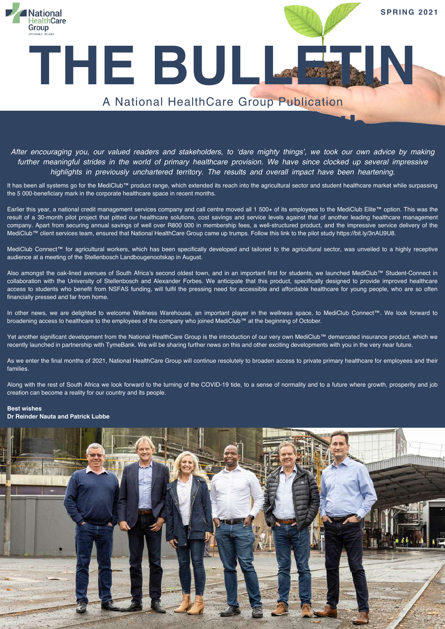

After encouraging you, our valued readers and stakeholders, to 'dare mighty things', we took our own advice by making further meaningful strides in the world of primary healthcare provision. We have since clocked up several impressive *highlights in previously unchartered territory. The results and overall impact have been heartening.*

**A season for growth**

It has been all systems go for the MediClub™ product range, which extended its reach into the agricultural sector and student healthcare market while surpassing the 5 000-beneficiary mark in the corporate healthcare space in recent months.

Earlier this year, a national credit management services company and call centre moved all 1 500+ of its employees to the MediClub Elite™ option. This was the result of a 30-month pilot project that pitted our healthcare solutions, cost savings and service levels against that of another leading healthcare management company. Apart from securing annual savings of well over R800 000 in membership fees, a well-structured product, and the impressive service delivery of the MediClub™ client services team, ensured that National HealthCare Group came up trumps. Follow this link to the pilot study <https://bit.ly/3nAU9U8>.

MediClub Connect™ for agricultural workers, which has been specifically developed and tailored to the agricultural sector, was unveiled to a highly receptive audience at a meeting of the Stellenbosch Landbougenootskap in August.

Also amongst the oak-lined avenues of South Africa's second oldest town, and in an important first for students, we launched MediClub™ Student-Connect in collaboration with the University of Stellenbosch and Alexander Forbes. We anticipate that this product, specifically designed to provide improved healthcare access to students who benefit from NSFAS funding, will fulfil the pressing need for accessible and affordable healthcare for young people, who are so often financially pressed and far from home.

In other news, we are delighted to welcome Wellness Warehouse, an important player in the wellness space, to MediClub Connect™. We look forward to broadening access to healthcare to the employees of the company who joined MediClub™ at the beginning of October.

Yet another significant development from the National HealthCare Group is the introduction of our very own MediClub™ demarcated insurance product, which we recently launched in partnership with TymeBank. We will be sharing further news on this and other exciting developments with you in the very near future.

As we enter the final months of 2021, National HealthCare Group will continue resolutely to broaden access to private primary healthcare for employees and their families.

Along with the rest of South Africa we look forward to the turning of the COVID-19 tide, to a sense of normality and to a future where growth, prosperity and job creation can become a reality for our country and its people.

#### **Best wishes**

**Dr Reinder Nauta and Patrick Lubbe**

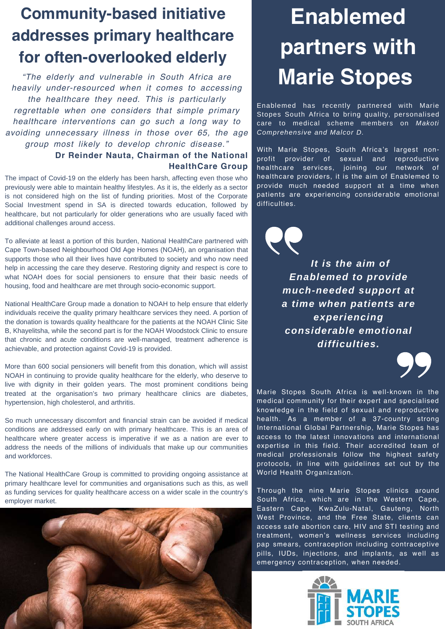## **Community-based initiative addresses primary healthcare for often-overlooked elderly**

*"The elderly and vulnerable in South Africa are heavily under-resourced when it comes to accessing the healthcare they need. This is particularly regrettable when one considers that simple primary healthcare interventions can go such a long way to avoiding unnecessary illness in those over 65, the age group most likely to develop chronic disease."* **Dr Reinder Nauta, Chairman of the National**

**HealthCare Group**

The impact of Covid-19 on the elderly has been harsh, affecting even those who previously were able to maintain healthy lifestyles. As it is, the elderly as a sector is not considered high on the list of funding priorities. Most of the Corporate Social Investment spend in SA is directed towards education, followed by healthcare, but not particularly for older generations who are usually faced with additional challenges around access.

To alleviate at least a portion of this burden, National HealthCare partnered with Cape Town-based Neighbourhood Old Age Homes (NOAH), an organisation that supports those who all their lives have contributed to society and who now need help in accessing the care they deserve. Restoring dignity and respect is core to what NOAH does for social pensioners to ensure that their basic needs of housing, food and healthcare are met through socio-economic support.

National HealthCare Group made a donation to NOAH to help ensure that elderly individuals receive the quality primary healthcare services they need. A portion of the donation is towards quality healthcare for the patients at the NOAH Clinic Site B, Khayelitsha, while the second part is for the NOAH Woodstock Clinic to ensure that chronic and acute conditions are well-managed, treatment adherence is achievable, and protection against Covid-19 is provided.

More than 600 social pensioners will benefit from this donation, which will assist NOAH in continuing to provide quality healthcare for the elderly, who deserve to live with dignity in their golden years. The most prominent conditions being treated at the organisation's two primary healthcare clinics are diabetes, hypertension, high cholesterol, and arthritis.

So much unnecessary discomfort and financial strain can be avoided if medical conditions are addressed early on with primary healthcare. This is an area of healthcare where greater access is imperative if we as a nation are ever to address the needs of the millions of individuals that make up our communities and workforces.

The National HealthCare Group is committed to providing ongoing assistance at primary healthcare level for communities and organisations such as this, as well as funding services for quality healthcare access on a wider scale in the country's employer market.



## **Enablemed partners with Marie Stopes**

Enablemed has recently partnered with Marie Stopes South Africa to bring quality, personalised care to medical scheme members on *Makoti Comprehensive and Malcor D.*

With Marie Stopes, South Africa's largest nonprofit provider of sexual and reproductive healthcare services, joining our network of healthcare providers, it is the aim of Enablemed to provide much needed support at a time when patients are experiencing considerable emotional difficulties.

> *It is the aim of Enablemed to provide much-needed support at a time when patients are experiencing considerable emotional difficulties.*



Marie Stopes South Africa is well-known in the medical community for their expert and specialised knowledge in the field of sexual and reproductive health. As a member of a 37-country strong International Global Partnership, Marie Stopes has access to the latest innovations and international expertise in this field. Their accredited team of medical professionals follow the highest safety protocols, in line with guidelines set out by the World Health Organization.

Through the nine Marie Stopes clinics around South Africa, which are in the Western Cape, Eastern Cape, KwaZulu-Natal, Gauteng, North West Province, and the Free State, clients can access safe abortion care, HIV and STI testing and treatment, women's wellness services including pap smears, contraception including contraceptive pills, IUDs, injections, and implants, as well as emergency contraception, when needed.

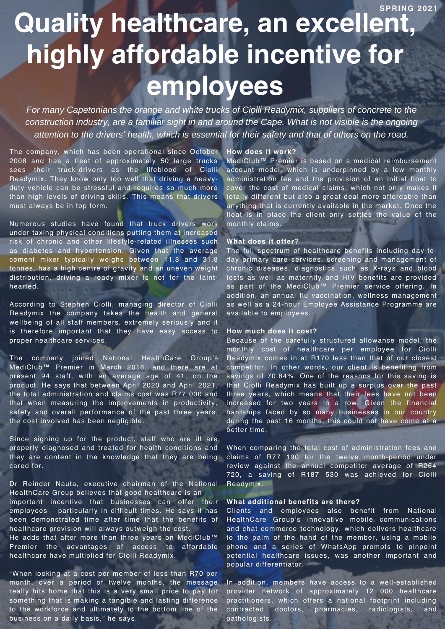**SPRING 2 0 2 1**

# **Quality healthcare, an excellent, highly affordable incentive for employees**

*For many Capetonians the orange and white trucks of Ciolli Readymix, suppliers of concrete to the construction industry, are a familiar sight in and around the Cape. What is not visible is the ongoing attention to the drivers' health, which is essential for their safety and that of others on the road.*

The company, which has been operational since October 2008 and has a fleet of approximately 50 large trucks sees their truck-drivers as the lifeblood of Ciolli Readymix. They know only too well that driving a heavyduty vehicle can be stressful and requires so much more than high levels of driving skills. This means that drivers must always be in top form.

Numerous studies have found that truck drivers work under taxing physical conditions putting them at increased risk of chronic and other lifestyle-related illnesses such as diabetes and hypertension. Given that the average cement mixer typically weighs between 11.8 and 31.8 tonnes, has a high centre of gravity and an uneven weight distribution, driving a ready mixer is not for the fainthearted.

According to Stephen Ciolli, managing director of Ciolli Readymix the company takes the health and general wellbeing of all staff members, extremely seriously and it is therefore important that they have easy access to proper healthcare services.

The company joined National HealthCare Group's MediClub™ Premier in March 2018, and there are at present 94 staff, with an average age of 41, on the product. He says that between April 2020 and April 2021, the total administration and claims cost was R77 000 and that when measuring the improvements in productivity, safety and overall performance of the past three years, the cost involved has been negligible.

Since signing up for the product, staff who are ill are properly diagnosed and treated for health conditions and they are content in the knowledge that they are being cared for.

Dr Reinder Nauta, executive chairman of the National HealthCare Group believes that good healthcare is an important incentive that businesses can offer their employees – particularly in difficult times. He says it has been demonstrated time after time that the benefits of healthcare provision will always outweigh the cost.

He adds that after more than three years on MediClub™ Premier the advantages of access to affordable healthcare have multiplied for Ciolli Readymix.

"When looking at a cost per member of less than R70 per month, over a period of twelve months, the message really hits home that this is a very small price to pay for something that is making a tangible and lasting difference to the workforce and ultimately to the bottom line of the business on a daily basis," he says.

#### **How does it work?**

MediClub™ Premier is based on a medical reimbursement account model, which is underpinned by a low monthly administration fee and the provision of an initial float to cover the cost of medical claims, which not only makes it totally different but also a great deal more affordable than anything that is currently available in the market. Once the float is in place the client only settles the value of the monthly claims.

#### **What does it offer?**

The full spectrum of healthcare benefits including day-today primary care services, screening and management of chronic diseases, diagnostics such as X-rays and blood tests as well as maternity and HIV benefits are provided as part of the MediClub™ Premier service offering. In addition, an annual flu vaccination, wellness management as well as a 24-hour Employee Assistance Programme are available to employees.

#### **How much does it cost?**

Because of the carefully structured allowance model, the monthly cost of healthcare per employee for Ciolli Readymix comes in at R170 less than that of our closest competitor. In other words, our client is benefiting from savings of 70.84%. One of the reasons for this saving is that Ciolli Readymix has built up a surplus over the past three years, which means that their fees have not been increased for two years in a row. Given the financial hardships faced by so many businesses in our country during the past 16 months, this could not have come at a better time.

When comparing the total cost of administration fees and claims of R77 190 for the twelve month-period under review against the annual competitor average of R264 720, a saving of R187 530 was achieved for Ciolli Readymix.

#### **What additional benefits are there?**

Clients and employees also benefit from National HealthCare Group's innovative mobile communications and chat commerce technology, which delivers healthcare to the palm of the hand of the member, using a mobile phone and a series of WhatsApp prompts to pinpoint potential healthcare issues, was another important and popular differentiator.

In addition, members have access to a well-established provider network of approximately 12 000 healthcare practitioners, which offers a national footprint including contracted doctors, pharmacies, radiologists, and pathologists.